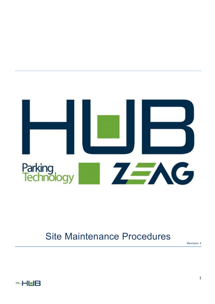

# Site Maintenance Procedures

Revision 3

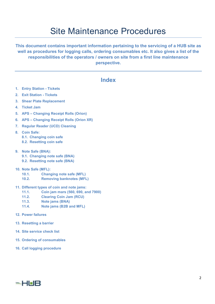## Site Maintenance Procedures

**This document contains important information pertaining to the servicing of a HUB site as well as procedures for logging calls, ordering consumables etc. It also gives a list of the responsibilities of the operators / owners on site from a first line maintenance perspective.** 

### **Index**

- **1. Entry Station Tickets**
- **2. Exit Station Tickets**
- **3. Shear Plate Replacement**
- **4. Ticket Jam**
- **5. APS Changing Receipt Rolls (Orion)**
- **6. APS Changing Receipt Rolls (Orion XR)**
- **7. Regular Reader (UCD) Cleaning**
- **8. Coin Safe: 8.1. Changing coin safe** 
	- **8.2. Resetting coin safe**
- **9. Note Safe (BNA): 9.1. Changing note safe (BNA) 9.2. Resetting note safe (BNA)**
- 
- **10. Note Safe (MFL):** 
	- **10.1. Changing note safe (MFL)**
	- **10.2. Removing banknotes (MFL)**
- **11. Different types of coin and note jams:** 
	- **11.1. Coin jam mars (560, 690, and 7900)**
	- **11.2. Clearing Coin Jam (RCU)**
	- **11.3. Note jams (BNA)**
	- **11.4. Note jams (B2B and MFL)**
- **12. Power failures**
- **13. Resetting a barrier**
- **14. Site service check list**
- **15. Ordering of consumables**
- **16. Call logging procedure**

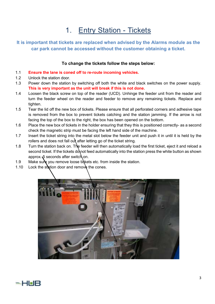## 1. Entry Station - Tickets

### **It is important that tickets are replaced when advised by the Alarms module as the car park cannot be accessed without the customer obtaining a ticket.**

### **To change the tickets follow the steps below:**

- 1.1 **Ensure the lane is coned off to re-route incoming vehicles.**
- 1.2 Unlock the station door.
- 1.3 Power down the station by switching off both the white and black switches on the power supply. **This is very important as the unit will break if this is not done.**
- 1.4 Loosen the black screw on top of the reader (UCD). Unhinge the feeder unit from the reader and turn the feeder wheel on the reader and feeder to remove any remaining tickets. Replace and tighten.
- 1.5 Tear the lid off the new box of tickets. Please ensure that all perforated corners and adhesive tape is removed from the box to prevent tickets catching and the station jamming. If the arrow is not facing the top of the box to the right, the box has been opened on the bottom.
- 1.6 Place the new box of tickets in the holder ensuring that they this is positioned correctly- as a second check the magnetic strip must be facing the left hand side of the machine.
- 1.7 Insert the ticket string into the metal slot below the feeder unit and push it in until it is held by the rollers and does not fall out after letting go of the ticket string.
- 1.8 Turn the station back on. The feeder will then automatically load the first ticket, eject it and reload a second ticket. If the tickets do not feed automatically into the station press the white button as shown approx. 5 seconds after switch on.
- 1.9 Make sure you remove loose tickets etc. from inside the station.
- 1.10 Lock the station door and remove the cones.



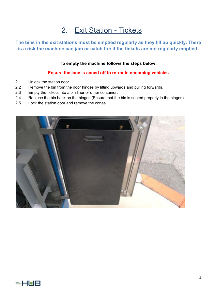### 2. Exit Station - Tickets

**The bins in the exit stations must be emptied regularly as they fill up quickly. There is a risk the machine can jam or catch fire if the tickets are not regularly emptied.** 

#### **To empty the machine follows the steps below:**

#### **Ensure the lane is coned off to re-route oncoming vehicles**

- 2.1 Unlock the station door.
- 2.2 Remove the bin from the door hinges by lifting upwards and pulling forwards.
- 2.3 Empty the tickets into a bin liner or other container.
- 2.4 Replace the bin back on the hinges (Ensure that the bin is seated properly in the hinges).
- 2.5 Lock the station door and remove the cones.



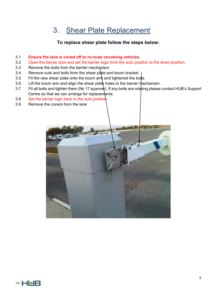### 3. Shear Plate Replacement

### **To replace shear plate follow the steps below:**

#### 3.1 **Ensure the lane is coned off to re-route oncoming vehicles.**

- 3.2 Open the barrier door and set the barrier logic from the auto position to the down position.
- 3.3 Remove the bolts from the barrier mechanism.
- 3.4 Remove nuts and bolts from the shear plate and boom bracket.
- 3.5 Fit the new shear plate onto the boom arm and tightened the bolts.
- 3.6 Lift the boom arm and align the shear plate holes to the barrier mechanism.
- 3.7 Fit all bolts and tighten them (No 17 spanner). If any bolts are missing please contact HUB's Support Centre so that we can arrange for replacements.
- 3.8 Set the barrier logic back to the auto position
- 3.9 Remove the cone/s from the lane



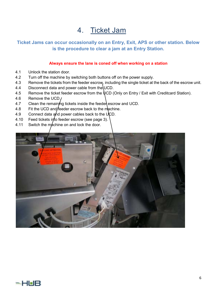### 4. Ticket Jam

### **Ticket Jams can occur occasionally on an Entry, Exit, APS or other station. Below is the procedure to clear a jam at an Entry Station.**

#### **Always ensure the lane is coned off when working on a station**

- 4.1 Unlock the station door.
- 4.2 Turn off the machine by switching both buttons off on the power supply.
- 4.3 Remove the tickets from the feeder escrow, including the single ticket at the back of the escrow unit.
- 4.4 Disconnect data and power cable from the UCD.
- 4.5 Remove the ticket feeder escrow from the UCD (Only on Entry / Exit with Creditcard Station).
- 4.6 Remove the UCD.
- 4.7 Clean the remaining tickets inside the feeder escrow and UCD.
- 4.8 Fit the UCD and feeder escrow back to the machine.
- 4.9 Connect data and power cables back to the  $\mathsf{U}$ CD.
- 4.10 Feed tickets into feeder escrow (see page 3).
- 4.11 Switch the machine on and lock the door.



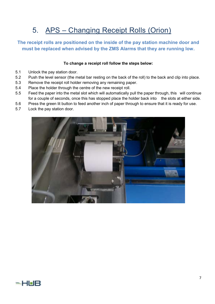## 5. APS – Changing Receipt Rolls (Orion)

### **The receipt rolls are positioned on the inside of the pay station machine door and must be replaced when advised by the ZMS Alarms that they are running low.**

#### **To change a receipt roll follow the steps below:**

- 5.1 Unlock the pay station door.
- 5.2 Push the level sensor (the metal bar resting on the back of the roll) to the back and clip into place.
- 5.3 Remove the receipt roll holder removing any remaining paper.
- 5.4 Place the holder through the centre of the new receipt roll.
- 5.5 Feed the paper into the metal slot which will automatically pull the paper through, this will continue for a couple of seconds, once this has stopped place the holder back into the slots at either side.
- 5.6 Press the green lit button to feed another inch of paper through to ensure that it is ready for use.
- 5.7 Lock the pay station door.

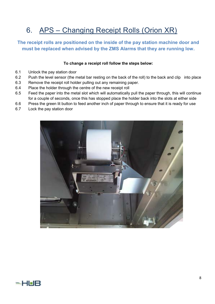## 6. APS – Changing Receipt Rolls (Orion XR)

### **The receipt rolls are positioned on the inside of the pay station machine door and must be replaced when advised by the ZMS Alarms that they are running low.**

#### **To change a receipt roll follow the steps below:**

- 6.1 Unlock the pay station door
- 6.2 Push the level sensor (the metal bar resting on the back of the roll) to the back and clip into place
- 6.3 Remove the receipt roll holder pulling out any remaining paper.
- 6.4 Place the holder through the centre of the new receipt roll
- 6.5 Feed the paper into the metal slot which will automatically pull the paper through, this will continue for a couple of seconds, once this has stopped place the holder back into the slots at either side
- 6.6 Press the green lit button to feed another inch of paper through to ensure that it is ready for use
- 6.7 Lock the pay station door



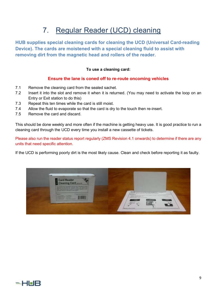## 7. Regular Reader (UCD) cleaning

**HUB supplies special cleaning cards for cleaning the UCD (Universal Card-reading Device). The cards are moistened with a special cleaning fluid to assist with removing dirt from the magnetic head and rollers of the reader.** 

#### **To use a cleaning card:**

#### **Ensure the lane is coned off to re-route oncoming vehicles**

- 7.1 Remove the cleaning card from the sealed sachet.
- 7.2 Insert it into the slot and remove it when it is returned. (You may need to activate the loop on an Entry or Exit station to do this)
- 7.3 Repeat this ten times while the card is still moist.
- 7.4 Allow the fluid to evaporate so that the card is dry to the touch then re-insert.
- 7.5 Remove the card and discard.

This should be done weekly and more often if the machine is getting heavy use. It is good practice to run a cleaning card through the UCD every time you install a new cassette of tickets.

Please also run the reader status report regularly (ZMS Revision 4.1 onwards) to determine if there are any units that need specific attention.

If the UCD is performing poorly dirt is the most likely cause. Clean and check before reporting it as faulty.



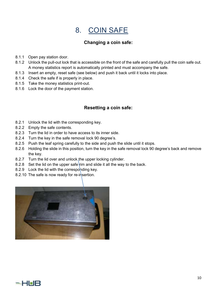### 8. COIN SAFE

### **Changing a coin safe:**

- 8.1.1 Open pay station door.
- 8.1.2 Unlock the pull-out lock that is accessible on the front of the safe and carefully pull the coin safe out. A money statistics report is automatically printed and must accompany the safe.
- 8.1.3 Insert an empty, reset safe (see below) and push it back until it locks into place.
- 8.1.4 Check the safe if is properly in place.
- 8.1.5 Take the money statistics print-out.
- 8.1.6 Lock the door of the payment station.

### **Resetting a coin safe:**

- 8.2.1 Unlock the lid with the corresponding key.
- 8.2.2 Empty the safe contents.
- 8.2.3 Turn the lid in order to have access to its inner side.
- 8.2.4 Turn the key in the safe removal lock 90 degree's.
- 8.2.5 Push the leaf spring carefully to the side and push the slide until it stops.
- 8.2.6 Holding the slide in this position, turn the key in the safe removal lock 90 degree's back and remove the key.
- 8.2.7 Turn the lid over and unlock the upper locking cylinder.
- 8.2.8 Set the lid on the upper safe rim and slide it all the way to the back.
- 8.2.9 Lock the lid with the corresponding key.
- 8.2.10 The safe is now ready for re-insertion.



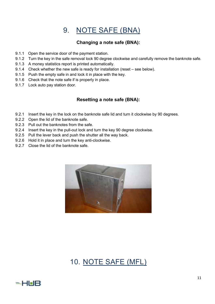### 9. NOTE SAFE (BNA)

### **Changing a note safe (BNA):**

- 9.1.1 Open the service door of the payment station.
- 9.1.2 Turn the key in the safe removal lock 90 degree clockwise and carefully remove the banknote safe.
- 9.1.3 A money statistics report is printed automatically.
- 9.1.4 Check whether the new safe is ready for installation (reset see below).
- 9.1.5 Push the empty safe in and lock it in place with the key.
- 9.1.6 Check that the note safe if is properly in place.
- 9.1.7 Lock auto pay station door.

### **Resetting a note safe (BNA):**

- 9.2.1 Insert the key in the lock on the banknote safe lid and turn it clockwise by 90 degrees.
- 9.2.2 Open the lid of the banknote safe.
- 9.2.3 Pull out the banknotes from the safe.
- 9.2.4 Insert the key in the pull-out lock and turn the key 90 degree clockwise.
- 9.2.5 Pull the lever back and push the shutter all the way back.
- 9.2.6 Hold it in place and turn the key anti-clockwise.
- 9.2.7 Close the lid of the banknote safe.



### 10. NOTE SAFE (MFL)

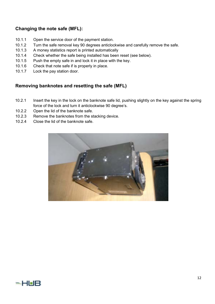### **Changing the note safe (MFL):**

- 10.1.1 Open the service door of the payment station.
- 10.1.2 Turn the safe removal key 90 degrees anticlockwise and carefully remove the safe.
- 10.1.3 A money statistics report is printed automatically
- 10.1.4 Check whether the safe being installed has been reset (see below).
- 10.1.5 Push the empty safe in and lock it in place with the key.
- 10.1.6 Check that note safe if is properly in place.
- 10.1.7 Lock the pay station door.

### **Removing banknotes and resetting the safe (MFL)**

- 10.2.1 Insert the key in the lock on the banknote safe lid, pushing slightly on the key against the spring force of the lock and turn it anticlockwise 90 degree's.
- 10.2.2 Open the lid of the banknote safe.
- 10.2.3 Remove the banknotes from the stacking device.
- 10.2.4 Close the lid of the banknote safe.



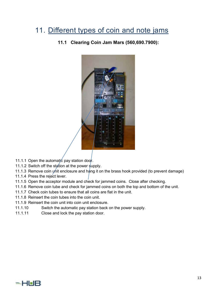### 11. Different types of coin and note jams

**11.1 Clearing Coin Jam Mars (560,690.7900):** 



- 11.1.1 Open the automatic pay station door.
- 11.1.2 Switch off the station at the power supply.
- 11.1.3 Remove coin ynit enclosure and hang it on the brass hook provided (to prevent damage)
- 11.1.4 Press the reject lever.
- 11.1.5 Open the acceptor module and check for jammed coins. Close after checking.
- 11.1.6 Remove coin tube and check for jammed coins on both the top and bottom of the unit.
- 11.1.7 Check coin tubes to ensure that all coins are flat in the unit.
- 11.1.8 Reinsert the coin tubes into the coin unit.
- 11.1.9 Reinsert the coin unit into coin unit enclosure.
- 11.1.10 Switch the automatic pay station back on the power supply.
- 11.1.11 Close and lock the pay station door.

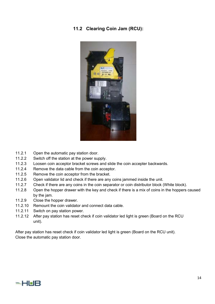### **11.2 Clearing Coin Jam (RCU):**



- 11.2.1 Open the automatic pay station door.
- 11.2.2 Switch off the station at the power supply.
- 11.2.3 Loosen coin acceptor bracket screws and slide the coin accepter backwards.
- 11.2.4 Remove the data cable from the coin acceptor.
- 11.2.5 Remove the coin acceptor from the bracket.
- 11.2.6 Open validator lid and check if there are any coins jammed inside the unit.
- 11.2.7 Check if there are any coins in the coin separator or coin distributor block (White block).
- 11.2.8 Open the hopper drawer with the key and check if there is a mix of coins in the hoppers caused by the jam.
- 11.2.9 Close the hopper drawer.
- 11.2.10 Remount the coin validator and connect data cable.
- 11.2.11 Switch on pay station power.
- 11.2.12 After pay station has reset check if coin validator led light is green (Board on the RCU unit).

After pay station has reset check if coin validator led light is green (Board on the RCU unit). Close the automatic pay station door.

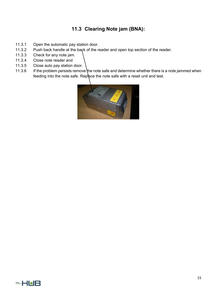### **11.3 Clearing Note jam (BNA):**

- 11.3.1 Open the automatic pay station door.
- 11.3.2 Push back handle at the back of the reader and open top section of the reader.
- 11.3.3 Check for any note jam.
- 11.3.4 Close note reader and
- 11.3.5 Close auto pay station door.
- 11.3.6 If the problem persists remove the note safe and determine whether there is a note jammed when feeding into the note safe. Replace the note safe with a reset unit and test.



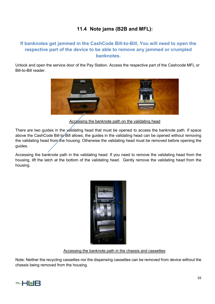### **11.4 Note jams (B2B and MFL):**

### **If banknotes get jammed in the CashCode Bill-to-Bill, You will need to open the respective part of the device to be able to remove any jammed or crumpled banknotes.**

Unlock and open the service door of the Pay Station. Access the respective part of the Cashcode MFL or Bill-to-Bill reader.



Accessing the banknote path on the validating head

There are two guides in the validating head that must be opened to access the banknote path. If space above the CashCode Bill-to-Bill allows, the guides in the validating head can be opened without removing the validating head from the housing. Otherwise the validating head must be removed before opening the guides.

Accessing the banknote path in the validating head: If you need to remove the validating head from the housing, lift the latch at the bottom of the validating head. Gently remove the validating head from the housing.



Accessing the banknote path in the chassis and cassettes:

Note: Neither the recycling cassettes nor the dispensing cassettes can be removed from device without the chassis being removed from the housing.

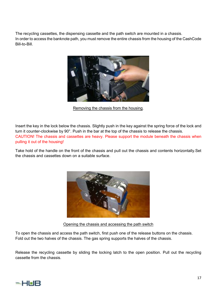The recycling cassettes, the dispensing cassette and the path switch are mounted in a chassis. In order to access the banknote path, you must remove the entire chassis from the housing of the CashCode Bill-to-Bill.



Removing the chassis from the housing.

Insert the key in the lock below the chassis. Slightly push in the key against the spring force of the lock and turn it counter-clockwise by 90°. Push in the bar at the top of the chassis to release the chassis. CAUTION! The chassis and cassettes are heavy. Please support the module beneath the chassis when pulling it out of the housing!

Take hold of the handle on the front of the chassis and pull out the chassis and contents horizontally.Set the chassis and cassettes down on a suitable surface.



Opening the chassis and accessing the path switch

To open the chassis and access the path switch, first push one of the release buttons on the chassis. Fold out the two halves of the chassis. The gas spring supports the halves of the chassis.

Release the recycling cassette by sliding the locking latch to the open position. Pull out the recycling cassette from the chassis.

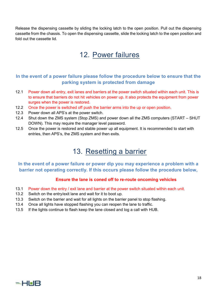Release the dispensing cassette by sliding the locking latch to the open position. Pull out the dispensing cassette from the chassis. To open the dispensing cassette, slide the locking latch to the open position and fold out the cassette lid.

### 12. Power failures

### **In the event of a power failure please follow the procedure below to ensure that the parking system is protected from damage**

- 12.1 Power down all entry, exit lanes and barriers at the power switch situated within each unit. This is to ensure that barriers do not hit vehicles on power up. It also protects the equipment from power surges when the power is restored.
- 12.2 Once the power is switched off push the barrier arms into the up or open position.
- 12.3 Power down all APS's at the power switch.
- 12.4 Shut down the ZMS system (Stop ZMS) and power down all the ZMS computers (START SHUT DOWN). This may require the manager level password.
- 12.5 Once the power is restored and stable power up all equipment. It is recommended to start with entries, then APS's, the ZMS system and then exits.

### 13. Resetting a barrier

### **In the event of a power failure or power dip you may experience a problem with a barrier not operating correctly. If this occurs please follow the procedure below,**

### **Ensure the lane is coned off to re-route oncoming vehicles**

- 13.1 Power down the entry / exit lane and barrier at the power switch situated within each unit.
- 13.2 Switch on the entry/exit lane and wait for it to boot up.
- 13.3 Switch on the barrier and wait for all lights on the barrier panel to stop flashing.
- 13.4 Once all lights have stopped flashing you can reopen the lane to traffic.
- 13.5 If the lights continue to flash keep the lane closed and log a call with HUB.

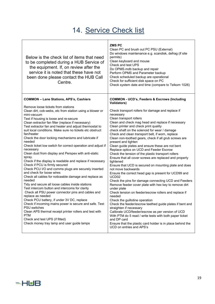## 14. Service Check list

| Below is the check list of items that need<br>to be completed during a HUB Service of<br>the equipment. If, on review after the<br>service it is noted that these have not<br>been done please contact the HUB Call<br>Centre.                                                                                                                                                                                                                                                                                                                                                                                                                                                                                                                                                                                                                                                                                                                                                                                                                                                                                                                                                                                                                                                               | <b>ZMSPC</b><br>Clean PC and brush out PC PSU (External)<br>Do windows maintenance e.g. scandisk, defrag (if site<br>permits)<br>Clean keyboard and mouse<br>Check and test UPS<br>Do OPMS.mdb backup and repair<br>Perform OPMS and Parameter backup<br>Check scheduled backup are operational<br>Check for sufficient disk space on PC<br>Check system date and time (compare to Telkom 1026)                                                                                                                                                                                                                                                                                                                                                                                                                                                                                                                                                                                                                                                                                                                                                                                                                                                                                                                           |
|----------------------------------------------------------------------------------------------------------------------------------------------------------------------------------------------------------------------------------------------------------------------------------------------------------------------------------------------------------------------------------------------------------------------------------------------------------------------------------------------------------------------------------------------------------------------------------------------------------------------------------------------------------------------------------------------------------------------------------------------------------------------------------------------------------------------------------------------------------------------------------------------------------------------------------------------------------------------------------------------------------------------------------------------------------------------------------------------------------------------------------------------------------------------------------------------------------------------------------------------------------------------------------------------|---------------------------------------------------------------------------------------------------------------------------------------------------------------------------------------------------------------------------------------------------------------------------------------------------------------------------------------------------------------------------------------------------------------------------------------------------------------------------------------------------------------------------------------------------------------------------------------------------------------------------------------------------------------------------------------------------------------------------------------------------------------------------------------------------------------------------------------------------------------------------------------------------------------------------------------------------------------------------------------------------------------------------------------------------------------------------------------------------------------------------------------------------------------------------------------------------------------------------------------------------------------------------------------------------------------------------|
| <b>COMMON - Lane Stations, APS's, Cashiers</b>                                                                                                                                                                                                                                                                                                                                                                                                                                                                                                                                                                                                                                                                                                                                                                                                                                                                                                                                                                                                                                                                                                                                                                                                                                               | <b>COMMON - UCD's, Feeders &amp; Escrows (Including</b><br><b>Validators)</b>                                                                                                                                                                                                                                                                                                                                                                                                                                                                                                                                                                                                                                                                                                                                                                                                                                                                                                                                                                                                                                                                                                                                                                                                                                             |
| Remove loose tickets from stations<br>Clean dirt, cob-webs, etc from station using a blower or<br>mini-vacuum<br>Test if housing is loose and re-secure<br>Clean extractor fan filter (replace if necessary)<br>Test extractor fan and heater and adjust thermostat to<br>suit local conditions. Make sure no tickets etc obstruct<br>fan/heater<br>Check the door locking mechanisms and lubricate if<br>needed<br>Check ticket low switch for correct operation and adjust if<br>necessary<br>Clean dust from display and Perspex with anti-static<br>spray.<br>Check if the display is readable and replace if necessary<br>Check if PCU is firmly secured<br>Check PCU I/O and comms plugs are securely inserted<br>and check for loose wires<br>Check all cables for noticeable damage and replace as<br>needed<br>Tidy and secure all loose cables inside stations<br>Test intercom button and intercoms for clarity<br>Check all PSU power connector pins and cables and<br>replace as needed<br>Check PCU battery, if under 3V DC, replace<br>Check if incoming mains power is secure and safe. Test<br><b>PSU</b> switches<br>Clean APS thermal receipt printer rollers and test with<br><b>PTM</b><br>Check and test UPS (if fitted)<br>Check money tray lamp and user guide lamps | Check transport rollers for damage and replace if<br>necessary<br>Clean transport rollers<br>Clean and check mag head and replace if necessary<br>Clean printer and check print quality<br>check shaft on the solenoid for wear / damage<br>Check and clean transport belt, if worn, replace<br>Clean non-toothed gears, check if all grub screws are<br>present and tighten<br>Clean guide plates and ensure these are not bent<br>Replace optics on UCD and Feeder Escrow<br>Check the tension of the plastic transport rollers<br>Ensure that all cover screws are replaced and properly<br>tightened<br>Ensure that UCD is secured on mounting plate and does<br>not move backwards<br>Ensure the correct head gap is present for UCD99 and<br>UCD <sub>02</sub><br>Check the pins for damage connecting UCD and Feeders<br>Remove feeder cover plate with hex key to remove dirt<br>under plate<br>Check tension on feeder/escrow rollers and replace if<br>needed<br>Check the guillotine operation<br>Check the feeder/escrow teethed guide plates if bent and<br>straighten if necessary<br>Calibrate UCD/feeder/escrow as per version of UCD<br>With PTM do 5 read / write tests with both paper ticket<br>and DP card<br>Ensure that the plastic card holder is in place behind the<br>UCD on entries and APS's |

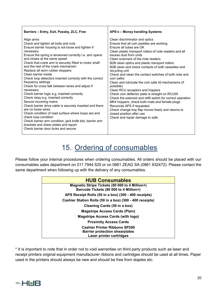| Barriers - Entry, Exit, Passby, ZLC, Free                                                                                                                                                                                                                                                                                                                                                                                                                                                                                                                                                                                                                                                                                                                                                                                                                                                                                                                    | APS's - Money handling Systems                                                                                                                                                                                                                                                                                                                                                                                                                                                                                                                                                                                                                                                                                                                                                                                                                                         |
|--------------------------------------------------------------------------------------------------------------------------------------------------------------------------------------------------------------------------------------------------------------------------------------------------------------------------------------------------------------------------------------------------------------------------------------------------------------------------------------------------------------------------------------------------------------------------------------------------------------------------------------------------------------------------------------------------------------------------------------------------------------------------------------------------------------------------------------------------------------------------------------------------------------------------------------------------------------|------------------------------------------------------------------------------------------------------------------------------------------------------------------------------------------------------------------------------------------------------------------------------------------------------------------------------------------------------------------------------------------------------------------------------------------------------------------------------------------------------------------------------------------------------------------------------------------------------------------------------------------------------------------------------------------------------------------------------------------------------------------------------------------------------------------------------------------------------------------------|
| Align arms<br>Check and tighten all bolts and nuts<br>Ensure barrier housing is not loose and tighten if<br>necessary<br>Ensure the spring is tensioned correctly i.e. arm opens<br>and closes at the same speed<br>Check that crank arm is securely fitted to motor shaft<br>and the rest of the crank mechanism<br>Replace all worn rubber stoppers<br>Clean barrier inside<br>Check loop detectors inserted correctly with the correct<br>frequency settings<br>Check for cross talk between lanes and adjust if<br>necessary<br>Check barrier logic e.g. inserted correctly<br>Check relay e.g. inserted correctly<br>Secure incoming mains<br>Check barrier drive cable is securely inserted and there<br>are no loose wires<br>Check condition of road surface where loops are and<br>check loop condition<br>Check barrier arm condition, jack knife kits, barrier arm<br>brackets and sheer plates and report<br>Check barrier door locks and secure | Clean discriminator and optics<br>Ensure that all coin paddles are working<br><b>Ensure all tubes are OK</b><br>Clean plastic transport rollers of note readers and all<br>excess dust from units<br>Clean scanners of the note readers<br>B2B clean optics and plastic transport rollers<br>B2B clean and check contacts of both cassettes and<br>recycling unit<br>Check and clean the contact switches of both note and<br>coin safes<br>Clean and lubricate the coin safe lid mechanisms (if<br>possible)<br>Clean RCU acceptors and hoppers<br>Check coin deflector plate is straight on RCU05<br>Check the solenoid and refill switch for correct operation<br>MK4 hoppers, check both male and female plugs<br>Reconcile APS if requested<br>Check change tray flap moves freely and returns to<br>closed position after use<br>Check and repair damage to safe |

## 15. Ordering of consumables

Please follow your internal procedures when ordering consumables. All orders should be placed with our consumables sales department on 011 7944 525 or on 0861 ZEAG SA (0861 932472). Please contact the same department when following up with the delivery of any consumables.

| <b>HUB Consumables</b>                                                                   |  |
|------------------------------------------------------------------------------------------|--|
| Magnetic Stripe Tickets (80 000 to 4 Million+)<br>Barcode Tickets (80 000 to 4 Million+) |  |
| APS Receipt Rolls (50 in a box) (300 - 400 receipts)                                     |  |
| Cashier Station Rolls (50 in a box) (300 - 400 receipts)                                 |  |
| Cleaning Cards (50 in a box)                                                             |  |
| <b>Magstripe Access Cards (Plain)</b>                                                    |  |
| <b>Magstripe Access Cards (with logo)</b>                                                |  |
| <b>Proximity Access Cards</b>                                                            |  |
| <b>Cashier Printer Ribbons SP200</b><br><b>Barrier protection shearplates</b>            |  |
| Laser printer cartridges                                                                 |  |

\* It is important to note that in order not to void warranties on third party products such as laser and receipt printers original equipment manufacturer ribbons and cartridges should be used at all times. Paper used in the printers should always be new and should be free from staples etc.

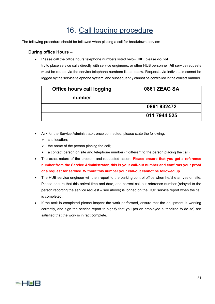### 16. Call logging procedure

The following procedure should be followed when placing a call for breakdown service:-

#### **During office Hours** –

Please call the office hours telephone numbers listed below. **NB,** please **do not**

try to place service calls directly with service engineers, or other HUB personnel. **All** service requests **must** be routed via the service telephone numbers listed below. Requests via individuals cannot be logged by the service telephone system, and subsequently cannot be controlled in the correct manner.

| <b>Office hours call logging</b> | <b>0861 ZEAG SA</b> |
|----------------------------------|---------------------|
| number                           |                     |
|                                  | 0861 932472         |
|                                  | 011 7944 525        |

- Ask for the Service Administrator, once connected, please state the following:
	- $\triangleright$  site location;
	- $\triangleright$  the name of the person placing the call;
	- $\triangleright$  a contact person on site and telephone number (if different to the person placing the call);
- The exact nature of the problem and requested action. **Please ensure that you get a reference number from the Service Administrator, this is your call-out number and confirms your proof of a request for service. Without this number your call-out cannot be followed up.**
- The HUB service engineer will then report to the parking control office when he/she arrives on site. Please ensure that this arrival time and date, and correct call-out reference number (relayed to the person reporting the service request – see above) is logged on the HUB service report when the call is completed.
- If the task is completed please inspect the work performed, ensure that the equipment is working correctly, and sign the service report to signify that you (as an employee authorized to do so) are satisfied that the work is in fact complete.

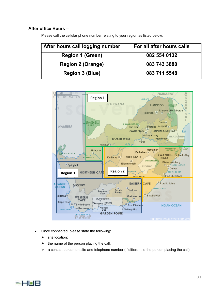#### **After office Hours** –

| Please call the cellular phone number relating to your region as listed below. |  |
|--------------------------------------------------------------------------------|--|
|--------------------------------------------------------------------------------|--|

| After hours call logging number | For all after hours calls |
|---------------------------------|---------------------------|
| <b>Region 1 (Green)</b>         | 082 554 0132              |
| <b>Region 2 (Orange)</b>        | 083 743 3880              |
| <b>Region 3 (Blue)</b>          | 083 711 5548              |



- Once connected, please state the following:
	- $\triangleright$  site location:
	- $\triangleright$  the name of the person placing the call;
	- $\triangleright$  a contact person on site and telephone number (if different to the person placing the call);

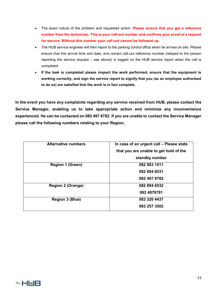- The exact nature of the problem and requested action. **Please ensure that you get a reference number from the technician. This is your call-out number and confirms your proof of a request for service. Without this number your call-out cannot be followed up.**
- The HUB service engineer will then report to the parking control office when he arrives on site. Please ensure that this arrival time and date, and correct call-out reference number (relayed to the person reporting the service request – see above) is logged on the HUB service report when the call is completed.
- **If the task is completed please inspect the work performed, ensure that the equipment is working correctly, and sign the service report to signify that you (as an employee authorized to do so) are satisfied that the work is in fact complete.**

**In the event you have any complaints regarding any service received from HUB, please contact the Service Manager, enabling us to take appropriate action and minimize any inconvenience experienced. He can be contacted on 082 497 8782. If you are unable to contact the Service Manager please call the following numbers relating to your Region,** 

| <b>Alternative numbers</b> | In case of an urgent call - Please state |
|----------------------------|------------------------------------------|
|                            | that you are unable to get hold of the   |
|                            | standby number                           |
| <b>Region 1 (Green)</b>    | 082 883 1511                             |
|                            | 082 894 6531                             |
|                            | 082 497 8782                             |
| <b>Region 2 (Orange)</b>   | 082 894 6532                             |
|                            | 082 4978781                              |
| <b>Region 3 (Blue)</b>     | 083 320 4437                             |
|                            | 083 257 3502                             |